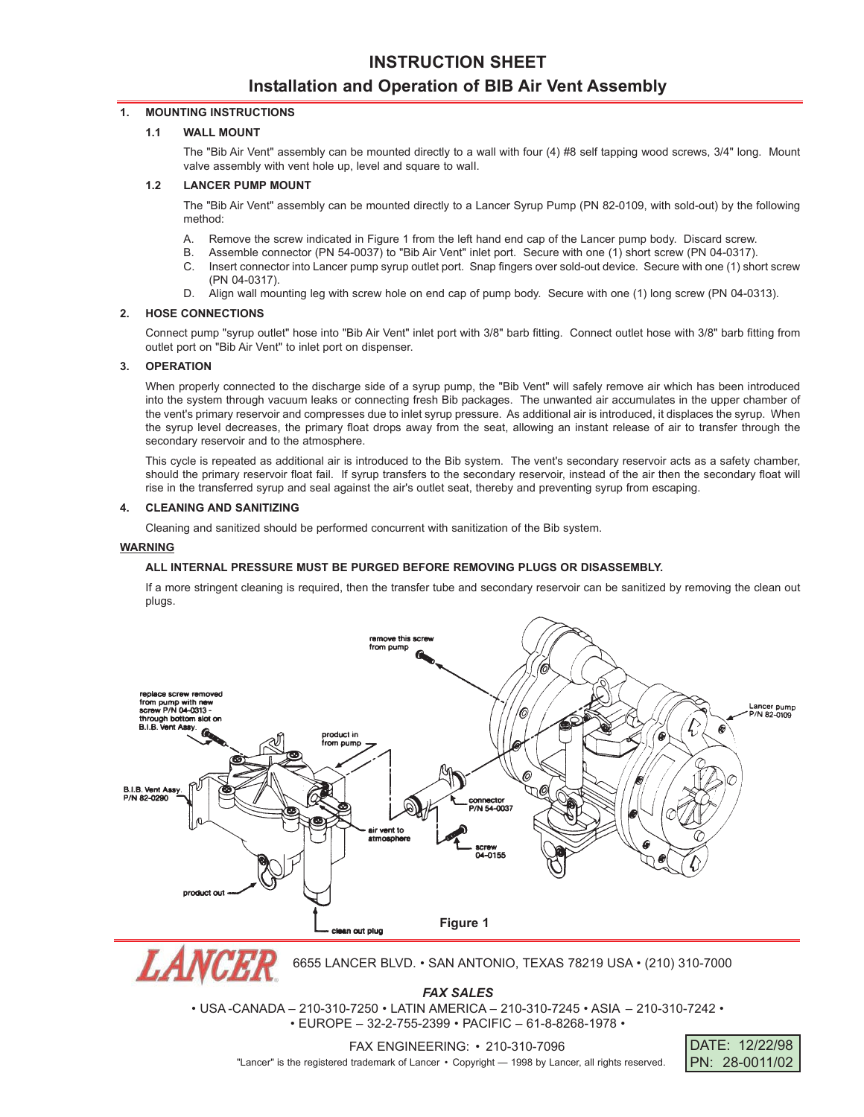# **INSTRUCTION SHEET Installation and Operation of BIB Air Vent Assembly**

### **1. MOUNTING INSTRUCTIONS**

# **1.1 WALL MOUNT**

The "Bib Air Vent" assembly can be mounted directly to a wall with four (4) #8 self tapping wood screws, 3/4" long. Mount valve assembly with vent hole up, level and square to walI.

#### **1.2 LANCER PUMP MOUNT**

The "Bib Air Vent" assembly can be mounted directly to a Lancer Syrup Pump (PN 82-0109, with sold-out) by the following method:

- A. Remove the screw indicated in Figure 1 from the left hand end cap of the Lancer pump body. Discard screw.
- B. Assemble connector (PN 54-0037) to "Bib Air Vent" inlet port. Secure with one (1) short screw (PN 04-0317).
- C. Insert connector into Lancer pump syrup outlet port. Snap fingers over sold-out device. Secure with one (1) short screw (PN 04-0317).
- D. Align wall mounting leg with screw hole on end cap of pump body. Secure with one (1) long screw (PN 04-0313).

#### **2. HOSE CONNECTIONS**

Connect pump "syrup outlet" hose into "Bib Air Vent" inlet port with 3/8" barb fitting. Connect outlet hose with 3/8" barb fitting from outlet port on "Bib Air Vent" to inlet port on dispenser.

#### **3. OPERATION**

When properly connected to the discharge side of a syrup pump, the "Bib Vent" will safely remove air which has been introduced into the system through vacuum leaks or connecting fresh Bib packages. The unwanted air accumulates in the upper chamber of the vent's primary reservoir and compresses due to inlet syrup pressure. As additional air is introduced, it displaces the syrup. When the syrup level decreases, the primary float drops away from the seat, allowing an instant release of air to transfer through the secondary reservoir and to the atmosphere.

This cycle is repeated as additional air is introduced to the Bib system. The vent's secondary reservoir acts as a safety chamber, should the primary reservoir float fail. If syrup transfers to the secondary reservoir, instead of the air then the secondary float will rise in the transferred syrup and seal against the air's outlet seat, thereby and preventing syrup from escaping.

#### **4. CLEANING AND SANITIZING**

Cleaning and sanitized should be performed concurrent with sanitization of the Bib system.

#### **WARNING**

## **ALL INTERNAL PRESSURE MUST BE PURGED BEFORE REMOVING PLUGS OR DISASSEMBLY.**

If a more stringent cleaning is required, then the transfer tube and secondary reservoir can be sanitized by removing the clean out plugs.



*FAX SALES* • USA -CANADA – 210-310-7250 • LATIN AMERICA – 210-310-7245 • ASIA – 210-310-7242 •

• EUROPE – 32-2-755-2399 • PACIFIC – 61-8-8268-1978 •

DATE: 12/22/98 PN: 28-0011/02

FAX ENGINEERING: • 210-310-7096

"Lancer" is the registered trademark of Lancer • Copyright - 1998 by Lancer, all rights reserved.